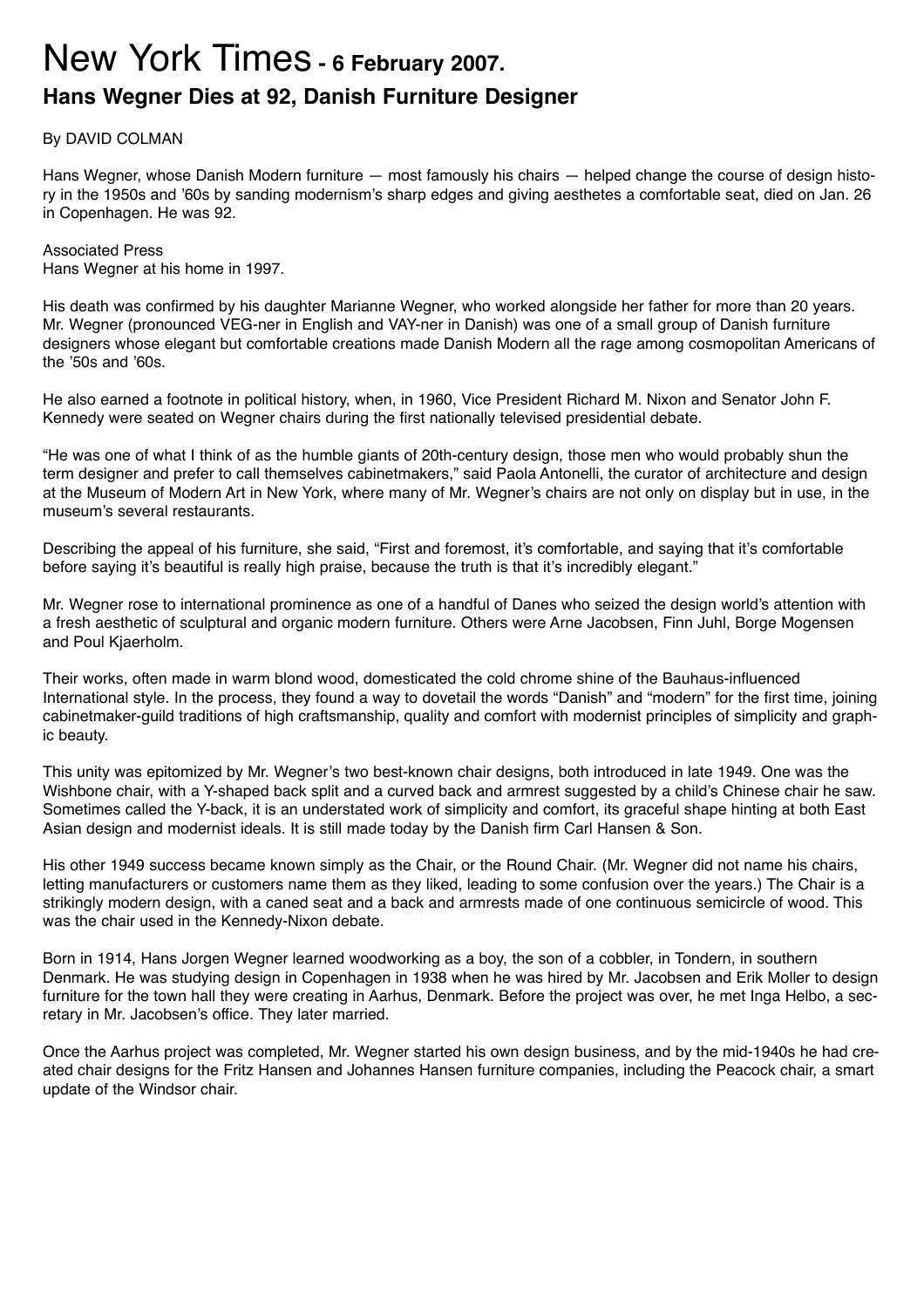## New York Times **- 6 February 2007. Hans Wegner Dies at 92, Danish Furniture Designer**

## By DAVID COLMAN

Hans Wegner, whose Danish Modern furniture — most famously his chairs — helped change the course of design history in the 1950s and '60s by sanding modernism's sharp edges and giving aesthetes a comfortable seat, died on Jan. 26 in Copenhagen. He was 92.

Associated Press Hans Wegner at his home in 1997.

His death was confirmed by his daughter Marianne Wegner, who worked alongside her father for more than 20 years. Mr. Wegner (pronounced VEG-ner in English and VAY-ner in Danish) was one of a small group of Danish furniture designers whose elegant but comfortable creations made Danish Modern all the rage among cosmopolitan Americans of the '50s and '60s.

He also earned a footnote in political history, when, in 1960, Vice President Richard M. Nixon and Senator John F. Kennedy were seated on Wegner chairs during the first nationally televised presidential debate.

"He was one of what I think of as the humble giants of 20th-century design, those men who would probably shun the term designer and prefer to call themselves cabinetmakers," said Paola Antonelli, the curator of architecture and design at the Museum of Modern Art in New York, where many of Mr. Wegner's chairs are not only on display but in use, in the museum's several restaurants.

Describing the appeal of his furniture, she said, "First and foremost, it's comfortable, and saying that it's comfortable before saying it's beautiful is really high praise, because the truth is that it's incredibly elegant."

Mr. Wegner rose to international prominence as one of a handful of Danes who seized the design world's attention with a fresh aesthetic of sculptural and organic modern furniture. Others were Arne Jacobsen, Finn Juhl, Borge Mogensen and Poul Kjaerholm.

Their works, often made in warm blond wood, domesticated the cold chrome shine of the Bauhaus-influenced International style. In the process, they found a way to dovetail the words "Danish" and "modern" for the first time, joining cabinetmaker-guild traditions of high craftsmanship, quality and comfort with modernist principles of simplicity and graphic beauty.

This unity was epitomized by Mr. Wegner's two best-known chair designs, both introduced in late 1949. One was the Wishbone chair, with a Y-shaped back split and a curved back and armrest suggested by a child's Chinese chair he saw. Sometimes called the Y-back, it is an understated work of simplicity and comfort, its graceful shape hinting at both East Asian design and modernist ideals. It is still made today by the Danish firm Carl Hansen & Son.

His other 1949 success became known simply as the Chair, or the Round Chair. (Mr. Wegner did not name his chairs, letting manufacturers or customers name them as they liked, leading to some confusion over the years.) The Chair is a strikingly modern design, with a caned seat and a back and armrests made of one continuous semicircle of wood. This was the chair used in the Kennedy-Nixon debate.

Born in 1914, Hans Jorgen Wegner learned woodworking as a boy, the son of a cobbler, in Tondern, in southern Denmark. He was studying design in Copenhagen in 1938 when he was hired by Mr. Jacobsen and Erik Moller to design furniture for the town hall they were creating in Aarhus, Denmark. Before the project was over, he met Inga Helbo, a secretary in Mr. Jacobsen's office. They later married.

Once the Aarhus project was completed, Mr. Wegner started his own design business, and by the mid-1940s he had created chair designs for the Fritz Hansen and Johannes Hansen furniture companies, including the Peacock chair, a smart update of the Windsor chair.